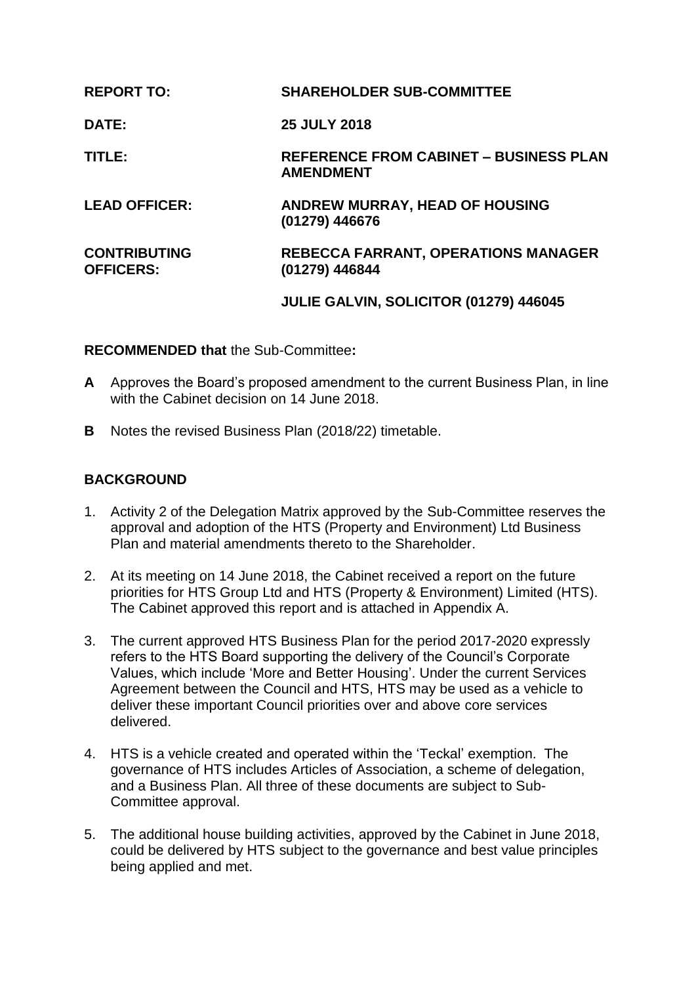| <b>REPORT TO:</b>                       | <b>SHAREHOLDER SUB-COMMITTEE</b>                                  |
|-----------------------------------------|-------------------------------------------------------------------|
| <b>DATE:</b>                            | <b>25 JULY 2018</b>                                               |
| TITLE:                                  | <b>REFERENCE FROM CABINET - BUSINESS PLAN</b><br><b>AMENDMENT</b> |
| <b>LEAD OFFICER:</b>                    | ANDREW MURRAY, HEAD OF HOUSING<br>(01279) 446676                  |
| <b>CONTRIBUTING</b><br><b>OFFICERS:</b> | <b>REBECCA FARRANT, OPERATIONS MANAGER</b><br>(01279) 446844      |
|                                         | JULIE GALVIN, SOLICITOR (01279) 446045                            |

#### **RECOMMENDED that** the Sub-Committee**:**

- **A** Approves the Board's proposed amendment to the current Business Plan, in line with the Cabinet decision on 14 June 2018.
- **B** Notes the revised Business Plan (2018/22) timetable.

## **BACKGROUND**

- 1. Activity 2 of the Delegation Matrix approved by the Sub-Committee reserves the approval and adoption of the HTS (Property and Environment) Ltd Business Plan and material amendments thereto to the Shareholder.
- 2. At its meeting on 14 June 2018, the Cabinet received a report on the future priorities for HTS Group Ltd and HTS (Property & Environment) Limited (HTS). The Cabinet approved this report and is attached in Appendix A.
- 3. The current approved HTS Business Plan for the period 2017-2020 expressly refers to the HTS Board supporting the delivery of the Council's Corporate Values, which include 'More and Better Housing'. Under the current Services Agreement between the Council and HTS, HTS may be used as a vehicle to deliver these important Council priorities over and above core services delivered.
- 4. HTS is a vehicle created and operated within the 'Teckal' exemption. The governance of HTS includes Articles of Association, a scheme of delegation, and a Business Plan. All three of these documents are subject to Sub-Committee approval.
- 5. The additional house building activities, approved by the Cabinet in June 2018, could be delivered by HTS subject to the governance and best value principles being applied and met.